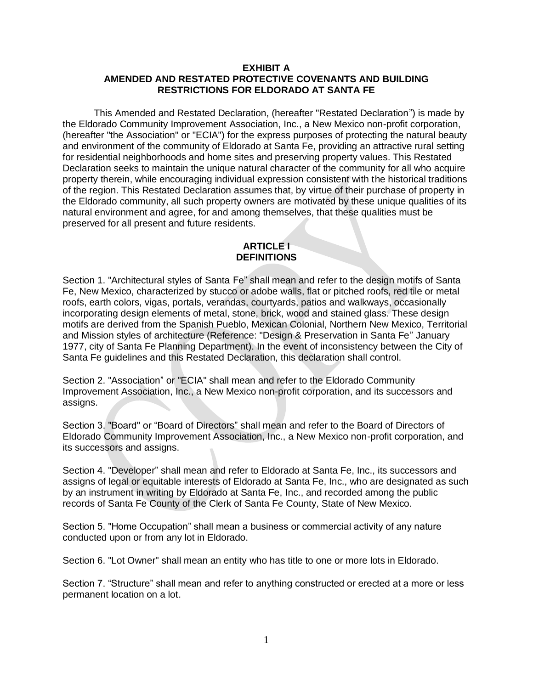## **EXHIBIT A AMENDED AND RESTATED PROTECTIVE COVENANTS AND BUILDING RESTRICTIONS FOR ELDORADO AT SANTA FE**

This Amended and Restated Declaration, (hereafter "Restated Declaration") is made by the Eldorado Community Improvement Association, Inc., a New Mexico non-profit corporation, (hereafter "the Association" or "ECIA") for the express purposes of protecting the natural beauty and environment of the community of Eldorado at Santa Fe, providing an attractive rural setting for residential neighborhoods and home sites and preserving property values. This Restated Declaration seeks to maintain the unique natural character of the community for all who acquire property therein, while encouraging individual expression consistent with the historical traditions of the region. This Restated Declaration assumes that, by virtue of their purchase of property in the Eldorado community, all such property owners are motivated by these unique qualities of its natural environment and agree, for and among themselves, that these qualities must be preserved for all present and future residents.

# **ARTICLE I DEFINITIONS**

Section 1. "Architectural styles of Santa Fe" shall mean and refer to the design motifs of Santa Fe, New Mexico, characterized by stucco or adobe walls, flat or pitched roofs, red tile or metal roofs, earth colors, vigas, portals, verandas, courtyards, patios and walkways, occasionally incorporating design elements of metal, stone, brick, wood and stained glass. These design motifs are derived from the Spanish Pueblo, Mexican Colonial, Northern New Mexico, Territorial and Mission styles of architecture (Reference: "Design & Preservation in Santa Fe" January 1977, city of Santa Fe Planning Department). In the event of inconsistency between the City of Santa Fe guidelines and this Restated Declaration, this declaration shall control.

Section 2. "Association" or "ECIA" shall mean and refer to the Eldorado Community Improvement Association, Inc., a New Mexico non-profit corporation, and its successors and assigns.

Section 3. "Board" or "Board of Directors" shall mean and refer to the Board of Directors of Eldorado Community Improvement Association, Inc., a New Mexico non-profit corporation, and its successors and assigns.

Section 4. "Developer" shall mean and refer to Eldorado at Santa Fe, Inc., its successors and assigns of legal or equitable interests of Eldorado at Santa Fe, Inc., who are designated as such by an instrument in writing by Eldorado at Santa Fe, Inc., and recorded among the public records of Santa Fe County of the Clerk of Santa Fe County, State of New Mexico.

Section 5. "Home Occupation" shall mean a business or commercial activity of any nature conducted upon or from any lot in Eldorado.

Section 6. "Lot Owner" shall mean an entity who has title to one or more lots in Eldorado.

Section 7. "Structure" shall mean and refer to anything constructed or erected at a more or less permanent location on a lot.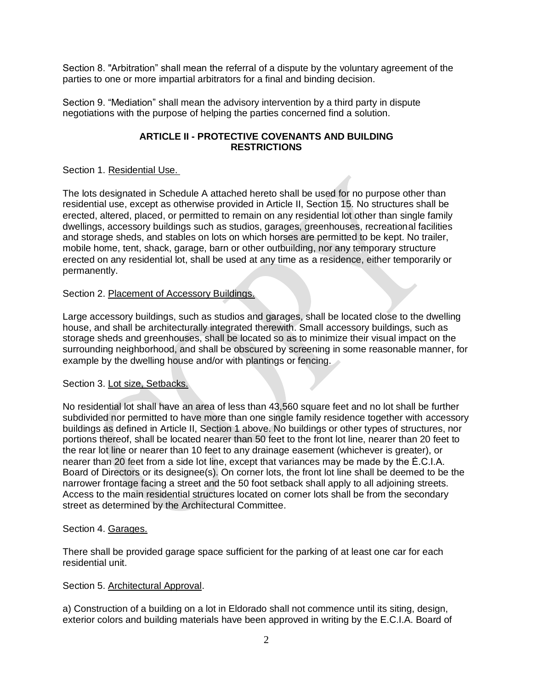Section 8. "Arbitration" shall mean the referral of a dispute by the voluntary agreement of the parties to one or more impartial arbitrators for a final and binding decision.

Section 9. "Mediation" shall mean the advisory intervention by a third party in dispute negotiations with the purpose of helping the parties concerned find a solution.

# **ARTICLE II - PROTECTIVE COVENANTS AND BUILDING RESTRICTIONS**

## Section 1. Residential Use.

The lots designated in Schedule A attached hereto shall be used for no purpose other than residential use, except as otherwise provided in Article II, Section 15. No structures shall be erected, altered, placed, or permitted to remain on any residential lot other than single family dwellings, accessory buildings such as studios, garages, greenhouses, recreational facilities and storage sheds, and stables on lots on which horses are permitted to be kept. No trailer, mobile home, tent, shack, garage, barn or other outbuilding, nor any temporary structure erected on any residential lot, shall be used at any time as a residence, either temporarily or permanently.

## Section 2. Placement of Accessory Buildings.

Large accessory buildings, such as studios and garages, shall be located close to the dwelling house, and shall be architecturally integrated therewith. Small accessory buildings, such as storage sheds and greenhouses, shall be located so as to minimize their visual impact on the surrounding neighborhood, and shall be obscured by screening in some reasonable manner, for example by the dwelling house and/or with plantings or fencing.

## Section 3. Lot size, Setbacks.

No residential lot shall have an area of less than 43,560 square feet and no lot shall be further subdivided nor permitted to have more than one single family residence together with accessory buildings as defined in Article II, Section 1 above. No buildings or other types of structures, nor portions thereof, shall be located nearer than 50 feet to the front lot line, nearer than 20 feet to the rear lot line or nearer than 10 feet to any drainage easement (whichever is greater), or nearer than 20 feet from a side lot line, except that variances may be made by the Ė.C.I.A. Board of Directors or its designee(s). On corner lots, the front lot line shall be deemed to be the narrower frontage facing a street and the 50 foot setback shall apply to all adjoining streets. Access to the main residential structures located on corner lots shall be from the secondary street as determined by the Architectural Committee.

# Section 4. Garages.

There shall be provided garage space sufficient for the parking of at least one car for each residential unit.

# Section 5. Architectural Approval.

a) Construction of a building on a lot in Eldorado shall not commence until its siting, design, exterior colors and building materials have been approved in writing by the E.C.I.A. Board of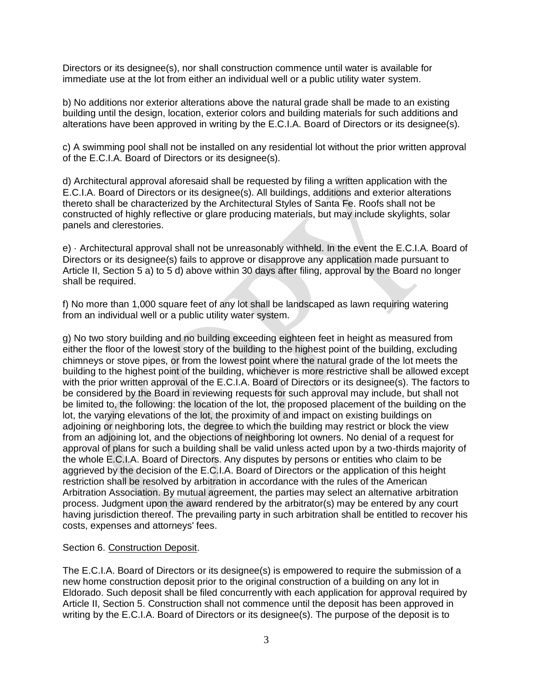Directors or its designee(s), nor shall construction commence until water is available for immediate use at the lot from either an individual well or a public utility water system.

b) No additions nor exterior alterations above the natural grade shall be made to an existing building until the design, location, exterior colors and building materials for such additions and alterations have been approved in writing by the E.C.I.A. Board of Directors or its designee(s).

c) A swimming pool shall not be installed on any residential lot without the prior written approval of the E.C.I.A. Board of Directors or its designee(s).

d) Architectural approval aforesaid shall be requested by filing a written application with the E.C.I.A. Board of Directors or its designee(s). All buildings, additions and exterior alterations thereto shall be characterized by the Architectural Styles of Santa Fe. Roofs shall not be constructed of highly reflective or glare producing materials, but may include skylights, solar panels and clerestories.

e) · Architectural approval shall not be unreasonably withheld. In the event the E.C.I.A. Board of Directors or its designee(s) fails to approve or disapprove any application made pursuant to Article II, Section 5 a) to 5 d) above within 30 days after filing, approval by the Board no longer shall be required.

f) No more than 1,000 square feet of any lot shall be landscaped as lawn requiring watering from an individual well or a public utility water system.

g) No two story building and no building exceeding eighteen feet in height as measured from either the floor of the lowest story of the building to the highest point of the building, excluding chimneys or stove pipes, or from the lowest point where the natural grade of the lot meets the building to the highest point of the building, whichever is more restrictive shall be allowed except with the prior written approval of the E.C.I.A. Board of Directors or its designee(s). The factors to be considered by the Board in reviewing requests for such approval may include, but shall not be limited to, the following: the location of the lot, the proposed placement of the building on the lot, the varying elevations of the lot, the proximity of and impact on existing buildings on adjoining or neighboring lots, the degree to which the building may restrict or block the view from an adjoining lot, and the objections of neighboring lot owners. No denial of a request for approval of plans for such a building shall be valid unless acted upon by a two-thirds majority of the whole E.C.I.A. Board of Directors. Any disputes by persons or entities who claim to be aggrieved by the decision of the E.C.I.A. Board of Directors or the application of this height restriction shall be resolved by arbitration in accordance with the rules of the American Arbitration Association. By mutual agreement, the parties may select an alternative arbitration process. Judgment upon the award rendered by the arbitrator(s) may be entered by any court having jurisdiction thereof. The prevailing party in such arbitration shall be entitled to recover his costs, expenses and attorneys' fees.

## Section 6. Construction Deposit.

The E.C.I.A. Board of Directors or its designee(s) is empowered to require the submission of a new home construction deposit prior to the original construction of a building on any lot in Eldorado. Such deposit shall be filed concurrently with each application for approval required by Article II, Section 5. Construction shall not commence until the deposit has been approved in writing by the E.C.I.A. Board of Directors or its designee(s). The purpose of the deposit is to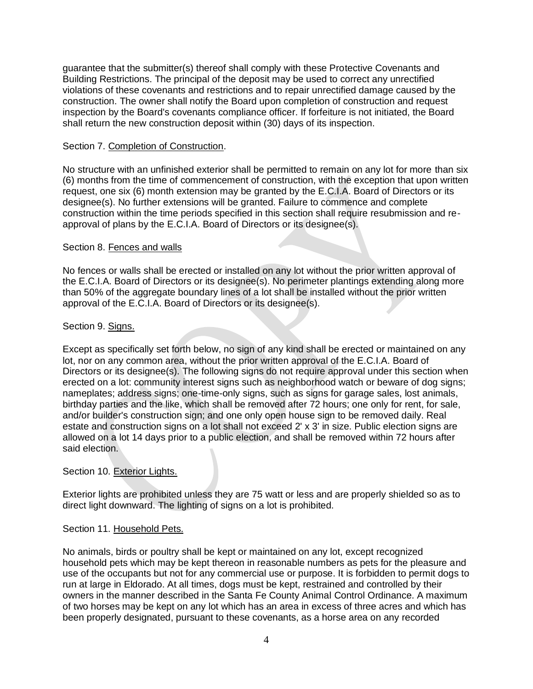guarantee that the submitter(s) thereof shall comply with these Protective Covenants and Building Restrictions. The principal of the deposit may be used to correct any unrectified violations of these covenants and restrictions and to repair unrectified damage caused by the construction. The owner shall notify the Board upon completion of construction and request inspection by the Board's covenants compliance officer. If forfeiture is not initiated, the Board shall return the new construction deposit within (30) days of its inspection.

## Section 7. Completion of Construction.

No structure with an unfinished exterior shall be permitted to remain on any lot for more than six (6) months from the time of commencement of construction, with the exception that upon written request, one six (6) month extension may be granted by the E.C.I.A. Board of Directors or its designee(s). No further extensions will be granted. Failure to commence and complete construction within the time periods specified in this section shall require resubmission and reapproval of plans by the E.C.I.A. Board of Directors or its designee(s).

## Section 8. Fences and walls

No fences or walls shall be erected or installed on any lot without the prior written approval of the E.C.I.A. Board of Directors or its designee(s). No perimeter plantings extending along more than 50% of the aggregate boundary lines of a lot shall be installed without the prior written approval of the E.C.I.A. Board of Directors or its designee(s).

## Section 9. Signs.

Except as specifically set forth below, no sign of any kind shall be erected or maintained on any lot, nor on any common area, without the prior written approval of the E.C.I.A. Board of Directors or its designee(s). The following signs do not require approval under this section when erected on a lot: community interest signs such as neighborhood watch or beware of dog signs; nameplates; address signs; one-time-only signs, such as signs for garage sales, lost animals, birthday parties and the like, which shall be removed after 72 hours; one only for rent, for sale, and/or builder's construction sign; and one only open house sign to be removed daily. Real estate and construction signs on a lot shall not exceed 2' x 3' in size. Public election signs are allowed on a lot 14 days prior to a public election, and shall be removed within 72 hours after said election.

# Section 10. Exterior Lights.

Exterior lights are prohibited unless they are 75 watt or less and are properly shielded so as to direct light downward. The lighting of signs on a lot is prohibited.

## Section 11. Household Pets.

No animals, birds or poultry shall be kept or maintained on any lot, except recognized household pets which may be kept thereon in reasonable numbers as pets for the pleasure and use of the occupants but not for any commercial use or purpose. It is forbidden to permit dogs to run at large in Eldorado. At all times, dogs must be kept, restrained and controlled by their owners in the manner described in the Santa Fe County Animal Control Ordinance. A maximum of two horses may be kept on any lot which has an area in excess of three acres and which has been properly designated, pursuant to these covenants, as a horse area on any recorded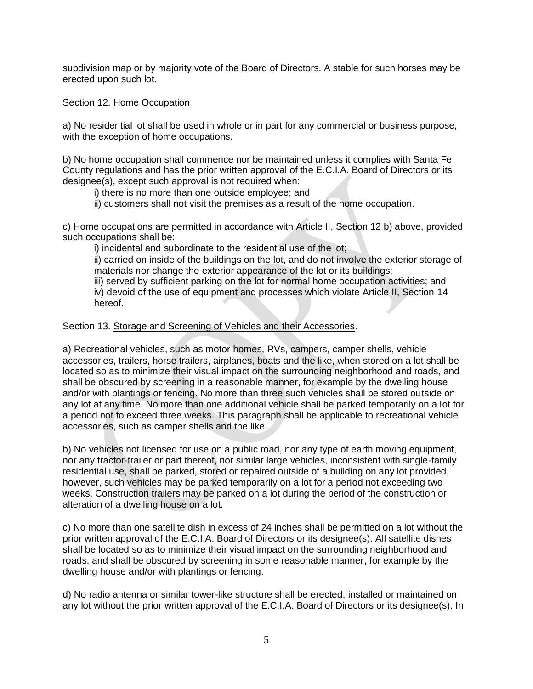subdivision map or by majority vote of the Board of Directors. A stable for such horses may be erected upon such lot.

Section 12. Home Occupation

a) No residential lot shall be used in whole or in part for any commercial or business purpose, with the exception of home occupations.

b) No home occupation shall commence nor be maintained unless it complies with Santa Fe County regulations and has the prior written approval of the E.C.I.A. Board of Directors or its designee(s), except such approval is not required when:

i) there is no more than one outside employee; and

ii) customers shall not visit the premises as a result of the home occupation.

c) Home occupations are permitted in accordance with Article II, Section 12 b) above, provided such occupations shall be:

i) incidental and subordinate to the residential use of the lot;

ii) carried on inside of the buildings on the lot, and do not involve the exterior storage of materials nor change the exterior appearance of the lot or its buildings;

iii) served by sufficient parking on the lot for normal home occupation activities; and iv) devoid of the use of equipment and processes which violate Article II, Section 14 hereof.

Section 13. Storage and Screening of Vehicles and their Accessories.

a) Recreational vehicles, such as motor homes, RVs, campers, camper shells, vehicle accessories, trailers, horse trailers, airplanes, boats and the like, when stored on a lot shall be located so as to minimize their visual impact on the surrounding neighborhood and roads, and shall be obscured by screening in a reasonable manner, for example by the dwelling house and/or with plantings or fencing. No more than three such vehicles shall be stored outside on any lot at any time. No more than one additional vehicle shall be parked temporarily on a lot for a period not to exceed three weeks. This paragraph shall be applicable to recreational vehicle accessories, such as camper shells and the like.

b) No vehicles not licensed for use on a public road, nor any type of earth moving equipment, nor any tractor-trailer or part thereof, nor similar large vehicles, inconsistent with single-family residential use, shall be parked, stored or repaired outside of a building on any lot provided, however, such vehicles may be parked temporarily on a lot for a period not exceeding two weeks. Construction trailers may be parked on a lot during the period of the construction or alteration of a dwelling house on a lot.

c) No more than one satellite dish in excess of 24 inches shall be permitted on a lot without the prior written approval of the E.C.I.A. Board of Directors or its designee(s). All satellite dishes shall be located so as to minimize their visual impact on the surrounding neighborhood and roads, and shall be obscured by screening in some reasonable manner, for example by the dwelling house and/or with plantings or fencing.

d) No radio antenna or similar tower-like structure shall be erected, installed or maintained on any lot without the prior written approval of the E.C.I.A. Board of Directors or its designee(s). In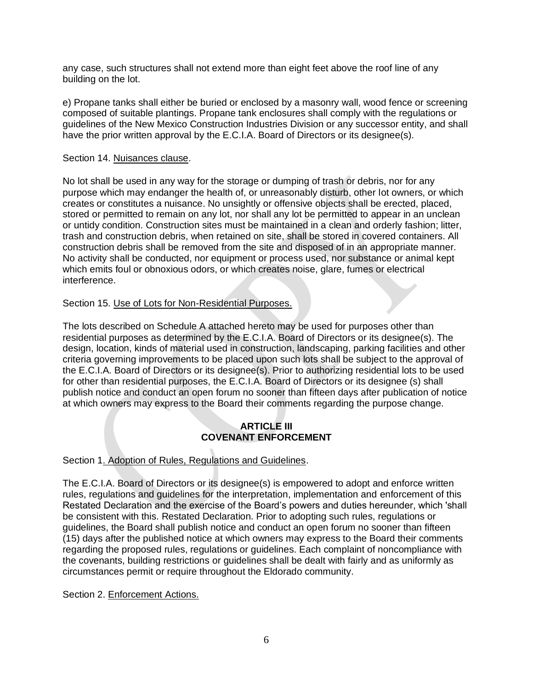any case, such structures shall not extend more than eight feet above the roof line of any building on the lot.

e) Propane tanks shall either be buried or enclosed by a masonry wall, wood fence or screening composed of suitable plantings. Propane tank enclosures shall comply with the regulations or guidelines of the New Mexico Construction Industries Division or any successor entity, and shall have the prior written approval by the E.C.I.A. Board of Directors or its designee(s).

## Section 14. Nuisances clause.

No lot shall be used in any way for the storage or dumping of trash or debris, nor for any purpose which may endanger the health of, or unreasonably disturb, other lot owners, or which creates or constitutes a nuisance. No unsightly or offensive objects shall be erected, placed, stored or permitted to remain on any lot, nor shall any lot be permitted to appear in an unclean or untidy condition. Construction sites must be maintained in a clean and orderly fashion; litter, trash and construction debris, when retained on site, shall be stored in covered containers. All construction debris shall be removed from the site and disposed of in an appropriate manner. No activity shall be conducted, nor equipment or process used, nor substance or animal kept which emits foul or obnoxious odors, or which creates noise, glare, fumes or electrical interference.

# Section 15. Use of Lots for Non-Residential Purposes.

The lots described on Schedule A attached hereto may be used for purposes other than residential purposes as determined by the E.C.I.A. Board of Directors or its designee(s). The design, location, kinds of material used in construction, landscaping, parking facilities and other criteria governing improvements to be placed upon such lots shall be subject to the approval of the E.C.I.A. Board of Directors or its designee(s). Prior to authorizing residential lots to be used for other than residential purposes, the E.C.I.A. Board of Directors or its designee (s) shall publish notice and conduct an open forum no sooner than fifteen days after publication of notice at which owners may express to the Board their comments regarding the purpose change.

# **ARTICLE III COVENANT ENFORCEMENT**

# Section 1. Adoption of Rules, Regulations and Guidelines.

The E.C.I.A. Board of Directors or its designee(s) is empowered to adopt and enforce written rules, regulations and guidelines for the interpretation, implementation and enforcement of this Restated Declaration and the exercise of the Board's powers and duties hereunder, which 'shall be consistent with this. Restated Declaration. Prior to adopting such rules, regulations or guidelines, the Board shall publish notice and conduct an open forum no sooner than fifteen (15) days after the published notice at which owners may express to the Board their comments regarding the proposed rules, regulations or guidelines. Each complaint of noncompliance with the covenants, building restrictions or guidelines shall be dealt with fairly and as uniformly as circumstances permit or require throughout the Eldorado community.

Section 2. Enforcement Actions.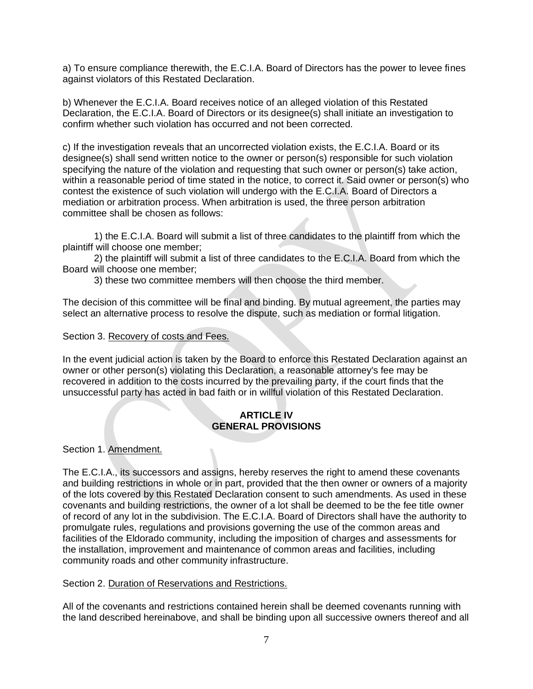a) To ensure compliance therewith, the E.C.I.A. Board of Directors has the power to levee fines against violators of this Restated Declaration.

b) Whenever the E.C.I.A. Board receives notice of an alleged violation of this Restated Declaration, the E.C.I.A. Board of Directors or its designee(s) shall initiate an investigation to confirm whether such violation has occurred and not been corrected.

c) If the investigation reveals that an uncorrected violation exists, the E.C.I.A. Board or its designee(s) shall send written notice to the owner or person(s) responsible for such violation specifying the nature of the violation and requesting that such owner or person(s) take action, within a reasonable period of time stated in the notice, to correct it. Said owner or person(s) who contest the existence of such violation will undergo with the E.C.I.A. Board of Directors a mediation or arbitration process. When arbitration is used, the three person arbitration committee shall be chosen as follows:

1) the E.C.I.A. Board will submit a list of three candidates to the plaintiff from which the plaintiff will choose one member;

2) the plaintiff will submit a list of three candidates to the E.C.I.A. Board from which the Board will choose one member;

3) these two committee members will then choose the third member.

The decision of this committee will be final and binding. By mutual agreement, the parties may select an alternative process to resolve the dispute, such as mediation or formal litigation.

Section 3. Recovery of costs and Fees.

In the event judicial action is taken by the Board to enforce this Restated Declaration against an owner or other person(s) violating this Declaration, a reasonable attorney's fee may be recovered in addition to the costs incurred by the prevailing party, if the court finds that the unsuccessful party has acted in bad faith or in willful violation of this Restated Declaration.

# **ARTICLE IV GENERAL PROVISIONS**

Section 1. Amendment.

The E.C.I.A., its successors and assigns, hereby reserves the right to amend these covenants and building restrictions in whole or in part, provided that the then owner or owners of a majority of the lots covered by this Restated Declaration consent to such amendments. As used in these covenants and building restrictions, the owner of a lot shall be deemed to be the fee title owner of record of any lot in the subdivision. The E.C.I.A. Board of Directors shall have the authority to promulgate rules, regulations and provisions governing the use of the common areas and facilities of the Eldorado community, including the imposition of charges and assessments for the installation, improvement and maintenance of common areas and facilities, including community roads and other community infrastructure.

# Section 2. Duration of Reservations and Restrictions.

All of the covenants and restrictions contained herein shall be deemed covenants running with the land described hereinabove, and shall be binding upon all successive owners thereof and all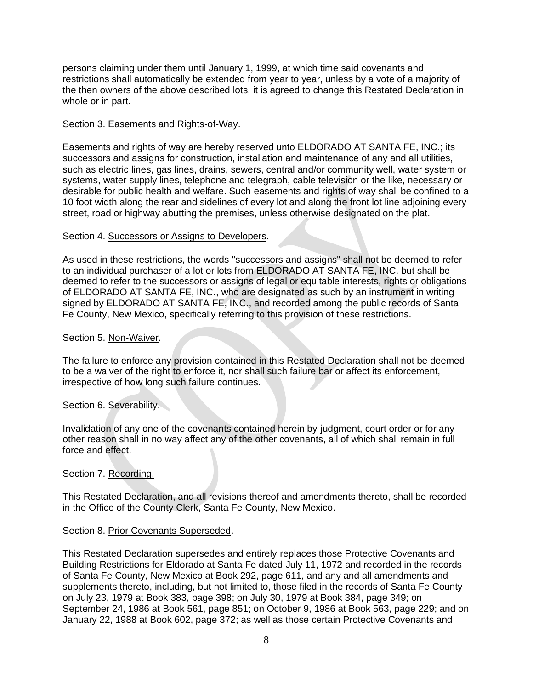persons claiming under them until January 1, 1999, at which time said covenants and restrictions shall automatically be extended from year to year, unless by a vote of a majority of the then owners of the above described lots, it is agreed to change this Restated Declaration in whole or in part.

## Section 3. Easements and Rights-of-Way.

Easements and rights of way are hereby reserved unto ELDORADO AT SANTA FE, INC.; its successors and assigns for construction, installation and maintenance of any and all utilities, such as electric lines, gas lines, drains, sewers, central and/or community well, water system or systems, water supply lines, telephone and telegraph, cable television or the like, necessary or desirable for public health and welfare. Such easements and rights of way shall be confined to a 10 foot width along the rear and sidelines of every lot and along the front lot line adjoining every street, road or highway abutting the premises, unless otherwise designated on the plat.

## Section 4. Successors or Assigns to Developers.

As used in these restrictions, the words "successors and assigns" shall not be deemed to refer to an individual purchaser of a lot or lots from ELDORADO AT SANTA FE, INC. but shall be deemed to refer to the successors or assigns of legal or equitable interests, rights or obligations of ELDORADO AT SANTA FE, INC., who are designated as such by an instrument in writing signed by ELDORADO AT SANTA FE, INC., and recorded among the public records of Santa Fe County, New Mexico, specifically referring to this provision of these restrictions.

## Section 5. Non-Waiver.

The failure to enforce any provision contained in this Restated Declaration shall not be deemed to be a waiver of the right to enforce it, nor shall such failure bar or affect its enforcement, irrespective of how long such failure continues.

# Section 6. Severability.

Invalidation of any one of the covenants contained herein by judgment, court order or for any other reason shall in no way affect any of the other covenants, all of which shall remain in full force and effect.

## Section 7. Recording.

This Restated Declaration, and all revisions thereof and amendments thereto, shall be recorded in the Office of the County Clerk, Santa Fe County, New Mexico.

## Section 8. Prior Covenants Superseded.

This Restated Declaration supersedes and entirely replaces those Protective Covenants and Building Restrictions for Eldorado at Santa Fe dated July 11, 1972 and recorded in the records of Santa Fe County, New Mexico at Book 292, page 611, and any and all amendments and supplements thereto, including, but not limited to, those filed in the records of Santa Fe County on July 23, 1979 at Book 383, page 398; on July 30, 1979 at Book 384, page 349; on September 24, 1986 at Book 561, page 851; on October 9, 1986 at Book 563, page 229; and on January 22, 1988 at Book 602, page 372; as well as those certain Protective Covenants and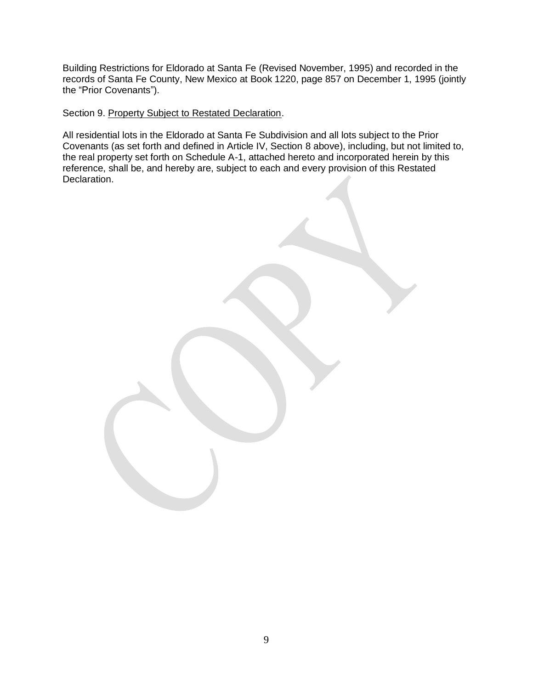Building Restrictions for Eldorado at Santa Fe (Revised November, 1995) and recorded in the records of Santa Fe County, New Mexico at Book 1220, page 857 on December 1, 1995 (jointly the "Prior Covenants").

Section 9. Property Subject to Restated Declaration.

All residential lots in the Eldorado at Santa Fe Subdivision and all lots subject to the Prior Covenants (as set forth and defined in Article IV, Section 8 above), including, but not limited to, the real property set forth on Schedule A-1, attached hereto and incorporated herein by this reference, shall be, and hereby are, subject to each and every provision of this Restated Declaration.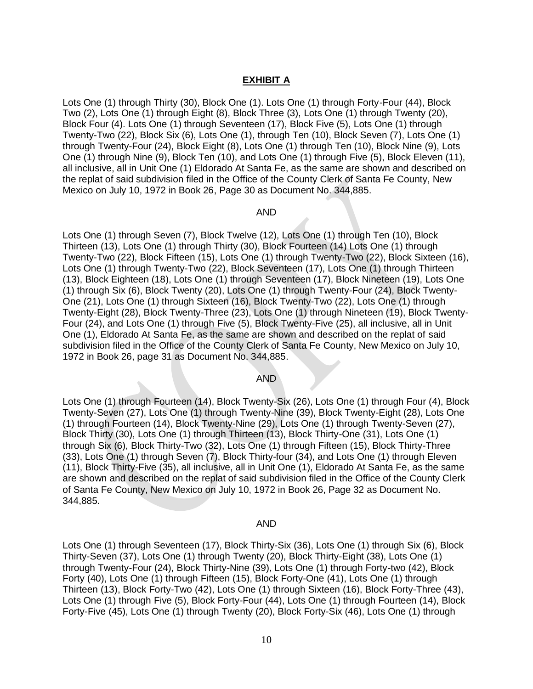## **EXHIBIT A**

Lots One (1) through Thirty (30), Block One (1). Lots One (1) through Forty-Four (44), Block Two (2), Lots One (1) through Eight (8), Block Three (3), Lots One (1) through Twenty (20), Block Four (4). Lots One (1) through Seventeen (17), Block Five (5), Lots One (1) through Twenty-Two (22), Block Six (6), Lots One (1), through Ten (10), Block Seven (7), Lots One (1) through Twenty-Four (24), Block Eight (8), Lots One (1) through Ten (10), Block Nine (9), Lots One (1) through Nine (9), Block Ten (10), and Lots One (1) through Five (5), Block Eleven (11), all inclusive, all in Unit One (1) Eldorado At Santa Fe, as the same are shown and described on the replat of said subdivision filed in the Office of the County Clerk of Santa Fe County, New Mexico on July 10, 1972 in Book 26, Page 30 as Document No. 344,885.

#### AND

Lots One (1) through Seven (7), Block Twelve (12), Lots One (1) through Ten (10), Block Thirteen (13), Lots One (1) through Thirty (30), Block Fourteen (14) Lots One (1) through Twenty-Two (22), Block Fifteen (15), Lots One (1) through Twenty-Two (22), Block Sixteen (16), Lots One (1) through Twenty-Two (22), Block Seventeen (17), Lots One (1) through Thirteen (13), Block Eighteen (18), Lots One (1) through Seventeen (17), Block Nineteen (19), Lots One (1) through Six (6), Block Twenty (20), Lots One (1) through Twenty-Four (24), Block Twenty-One (21), Lots One (1) through Sixteen (16), Block Twenty-Two (22), Lots One (1) through Twenty-Eight (28), Block Twenty-Three (23), Lots One (1) through Nineteen (19), Block Twenty-Four (24), and Lots One (1) through Five (5), Block Twenty-Five (25), all inclusive, all in Unit One (1), Eldorado At Santa Fe, as the same are shown and described on the replat of said subdivision filed in the Office of the County Clerk of Santa Fe County, New Mexico on July 10, 1972 in Book 26, page 31 as Document No. 344,885.

### AND

Lots One (1) through Fourteen (14), Block Twenty-Six (26), Lots One (1) through Four (4), Block Twenty-Seven (27), Lots One (1) through Twenty-Nine (39), Block Twenty-Eight (28), Lots One (1) through Fourteen (14), Block Twenty-Nine (29), Lots One (1) through Twenty-Seven (27), Block Thirty (30), Lots One (1) through Thirteen (13), Block Thirty-One (31), Lots One (1) through Six (6), Block Thirty-Two (32), Lots One (1) through Fifteen (15), Block Thirty-Three (33), Lots One (1) through Seven (7), Block Thirty-four (34), and Lots One (1) through Eleven (11), Block Thirty-Five (35), all inclusive, all in Unit One (1), Eldorado At Santa Fe, as the same are shown and described on the replat of said subdivision filed in the Office of the County Clerk of Santa Fe County, New Mexico on July 10, 1972 in Book 26, Page 32 as Document No. 344,885.

#### AND

Lots One (1) through Seventeen (17), Block Thirty-Six (36), Lots One (1) through Six (6), Block Thirty-Seven (37), Lots One (1) through Twenty (20), Block Thirty-Eight (38), Lots One (1) through Twenty-Four (24), Block Thirty-Nine (39), Lots One (1) through Forty-two (42), Block Forty (40), Lots One (1) through Fifteen (15), Block Forty-One (41), Lots One (1) through Thirteen (13), Block Forty-Two (42), Lots One (1) through Sixteen (16), Block Forty-Three (43), Lots One (1) through Five (5), Block Forty-Four (44), Lots One (1) through Fourteen (14), Block Forty-Five (45), Lots One (1) through Twenty (20), Block Forty-Six (46), Lots One (1) through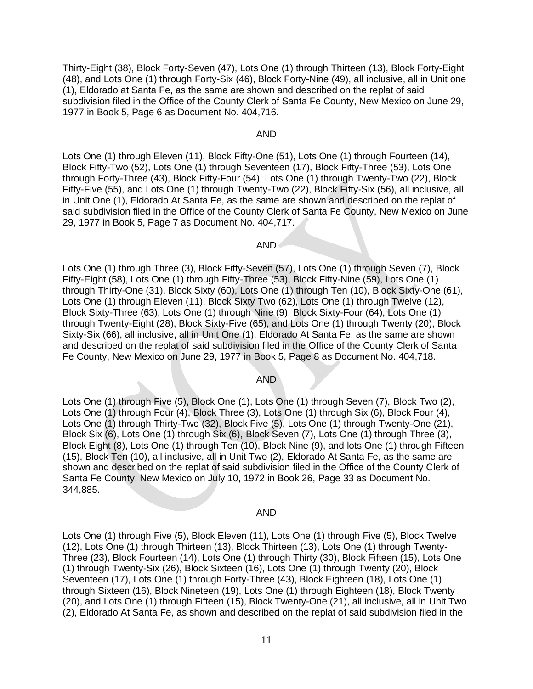Thirty-Eight (38), Block Forty-Seven (47), Lots One (1) through Thirteen (13), Block Forty-Eight (48), and Lots One (1) through Forty-Six (46), Block Forty-Nine (49), all inclusive, all in Unit one (1), Eldorado at Santa Fe, as the same are shown and described on the replat of said subdivision filed in the Office of the County Clerk of Santa Fe County, New Mexico on June 29, 1977 in Book 5, Page 6 as Document No. 404,716.

### AND

Lots One (1) through Eleven (11), Block Fifty-One (51), Lots One (1) through Fourteen (14), Block Fifty-Two (52), Lots One (1) through Seventeen (17), Block Fifty-Three (53), Lots One through Forty-Three (43), Block Fifty-Four (54), Lots One (1) through Twenty-Two (22), Block Fifty-Five (55), and Lots One (1) through Twenty-Two (22), Block Fifty-Six (56), all inclusive, all in Unit One (1), Eldorado At Santa Fe, as the same are shown and described on the replat of said subdivision filed in the Office of the County Clerk of Santa Fe County, New Mexico on June 29, 1977 in Book 5, Page 7 as Document No. 404,717.

## AND

Lots One (1) through Three (3), Block Fifty-Seven (57), Lots One (1) through Seven (7), Block Fifty-Eight (58), Lots One (1) through Fifty-Three (53), Block Fifty-Nine (59), Lots One (1) through Thirty-One (31), Block Sixty (60), Lots One (1) through Ten (10), Block Sixty-One (61), Lots One (1) through Eleven (11), Block Sixty Two (62), Lots One (1) through Twelve (12), Block Sixty-Three (63), Lots One (1) through Nine (9), Block Sixty-Four (64), Lots One (1) through Twenty-Eight (28), Block Sixty-Five (65), and Lots One (1) through Twenty (20), Block Sixty-Six (66), all inclusive, all in Unit One (1), Eldorado At Santa Fe, as the same are shown and described on the replat of said subdivision filed in the Office of the County Clerk of Santa Fe County, New Mexico on June 29, 1977 in Book 5, Page 8 as Document No. 404,718.

### AND

Lots One (1) through Five (5), Block One (1), Lots One (1) through Seven (7), Block Two (2), Lots One (1) through Four (4), Block Three (3), Lots One (1) through Six (6), Block Four (4), Lots One (1) through Thirty-Two (32), Block Five (5), Lots One (1) through Twenty-One (21), Block Six (6), Lots One (1) through Six (6), Block Seven (7), Lots One (1) through Three (3), Block Eight (8), Lots One (1) through Ten (10), Block Nine (9), and lots One (1) through Fifteen (15), Block Ten (10), all inclusive, all in Unit Two (2), Eldorado At Santa Fe, as the same are shown and described on the replat of said subdivision filed in the Office of the County Clerk of Santa Fe County, New Mexico on July 10, 1972 in Book 26, Page 33 as Document No. 344,885.

#### AND

Lots One (1) through Five (5), Block Eleven (11), Lots One (1) through Five (5), Block Twelve (12), Lots One (1) through Thirteen (13), Block Thirteen (13), Lots One (1) through Twenty-Three (23), Block Fourteen (14), Lots One (1) through Thirty (30), Block Fifteen (15), Lots One (1) through Twenty-Six (26), Block Sixteen (16), Lots One (1) through Twenty (20), Block Seventeen (17), Lots One (1) through Forty-Three (43), Block Eighteen (18), Lots One (1) through Sixteen (16), Block Nineteen (19), Lots One (1) through Eighteen (18), Block Twenty (20), and Lots One (1) through Fifteen (15), Block Twenty-One (21), all inclusive, all in Unit Two (2), Eldorado At Santa Fe, as shown and described on the replat of said subdivision filed in the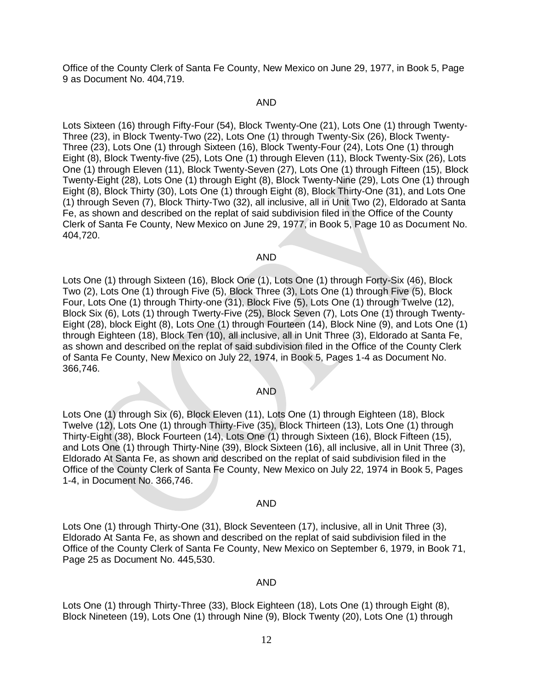Office of the County Clerk of Santa Fe County, New Mexico on June 29, 1977, in Book 5, Page 9 as Document No. 404,719.

#### AND

Lots Sixteen (16) through Fifty-Four (54), Block Twenty-One (21), Lots One (1) through Twenty-Three (23), in Block Twenty-Two (22), Lots One (1) through Twenty-Six (26), Block Twenty-Three (23), Lots One (1) through Sixteen (16), Block Twenty-Four (24), Lots One (1) through Eight (8), Block Twenty-five (25), Lots One (1) through Eleven (11), Block Twenty-Six (26), Lots One (1) through Eleven (11), Block Twenty-Seven (27), Lots One (1) through Fifteen (15), Block Twenty-Eight (28), Lots One (1) through Eight (8), Block Twenty-Nine (29), Lots One (1) through Eight (8), Block Thirty (30), Lots One (1) through Eight (8), Block Thirty-One (31), and Lots One (1) through Seven (7), Block Thirty-Two (32), all inclusive, all in Unit Two (2), Eldorado at Santa Fe, as shown and described on the replat of said subdivision filed in the Office of the County Clerk of Santa Fe County, New Mexico on June 29, 1977, in Book 5, Page 10 as Document No. 404,720.

#### AND

Lots One (1) through Sixteen (16), Block One (1), Lots One (1) through Forty-Six (46), Block Two (2), Lots One (1) through Five (5), Block Three (3), Lots One (1) through Five (5), Block Four, Lots One (1) through Thirty-one (31), Block Five (5), Lots One (1) through Twelve (12), Block Six (6), Lots (1) through Twerty-Five (25), Block Seven (7), Lots One (1) through Twenty-Eight (28), block Eight (8), Lots One (1) through Fourteen (14), Block Nine (9), and Lots One (1) through Eighteen (18), Block Ten (10), all inclusive, all in Unit Three (3), Eldorado at Santa Fe, as shown and described on the replat of said subdivision filed in the Office of the County Clerk of Santa Fe County, New Mexico on July 22, 1974, in Book 5, Pages 1-4 as Document No. 366,746.

#### AND

Lots One (1) through Six (6), Block Eleven (11), Lots One (1) through Eighteen (18), Block Twelve (12), Lots One (1) through Thirty-Five (35), Block Thirteen (13), Lots One (1) through Thirty-Eight (38), Block Fourteen (14), Lots One (1) through Sixteen (16), Block Fifteen (15), and Lots One (1) through Thirty-Nine (39), Block Sixteen (16), all inclusive, all in Unit Three (3), Eldorado At Santa Fe, as shown and described on the replat of said subdivision filed in the Office of the County Clerk of Santa Fe County, New Mexico on July 22, 1974 in Book 5, Pages 1-4, in Document No. 366,746.

#### AND

Lots One (1) through Thirty-One (31), Block Seventeen (17), inclusive, all in Unit Three (3), Eldorado At Santa Fe, as shown and described on the replat of said subdivision filed in the Office of the County Clerk of Santa Fe County, New Mexico on September 6, 1979, in Book 71, Page 25 as Document No. 445,530.

#### AND

Lots One (1) through Thirty-Three (33), Block Eighteen (18), Lots One (1) through Eight (8), Block Nineteen (19), Lots One (1) through Nine (9), Block Twenty (20), Lots One (1) through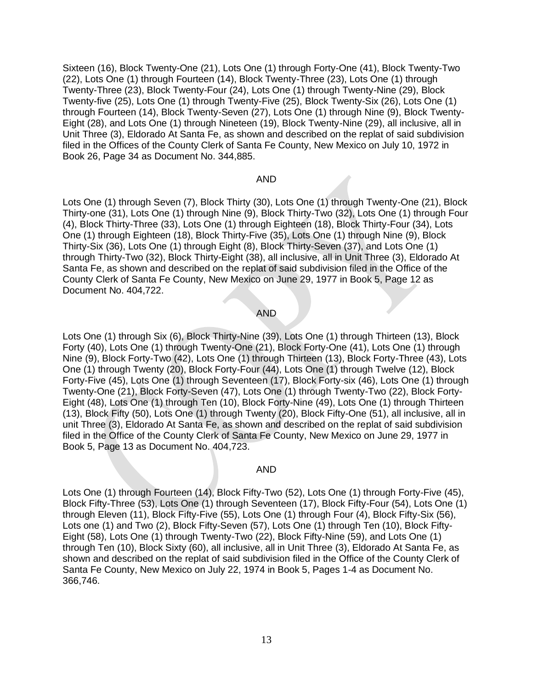Sixteen (16), Block Twenty-One (21), Lots One (1) through Forty-One (41), Block Twenty-Two (22), Lots One (1) through Fourteen (14), Block Twenty-Three (23), Lots One (1) through Twenty-Three (23), Block Twenty-Four (24), Lots One (1) through Twenty-Nine (29), Block Twenty-five (25), Lots One (1) through Twenty-Five (25), Block Twenty-Six (26), Lots One (1) through Fourteen (14), Block Twenty-Seven (27), Lots One (1) through Nine (9), Block Twenty-Eight (28), and Lots One (1) through Nineteen (19), Block Twenty-Nine (29), all inclusive, all in Unit Three (3), Eldorado At Santa Fe, as shown and described on the replat of said subdivision filed in the Offices of the County Clerk of Santa Fe County, New Mexico on July 10, 1972 in Book 26, Page 34 as Document No. 344,885.

#### AND

Lots One (1) through Seven (7), Block Thirty (30), Lots One (1) through Twenty-One (21), Block Thirty-one (31), Lots One (1) through Nine (9), Block Thirty-Two (32), Lots One (1) through Four (4), Block Thirty-Three (33), Lots One (1) through Eighteen (18), Block Thirty-Four (34), Lots One (1) through Eighteen (18), Block Thirty-Five (35), Lots One (1) through Nine (9), Block Thirty-Six (36), Lots One (1) through Eight (8), Block Thirty-Seven (37), and Lots One (1) through Thirty-Two (32), Block Thirty-Eight (38), all inclusive, all in Unit Three (3), Eldorado At Santa Fe, as shown and described on the replat of said subdivision filed in the Office of the County Clerk of Santa Fe County, New Mexico on June 29, 1977 in Book 5, Page 12 as Document No. 404,722.

#### AND

Lots One (1) through Six (6), Block Thirty-Nine (39), Lots One (1) through Thirteen (13), Block Forty (40), Lots One (1) through Twenty-One (21), Block Forty-One (41), Lots One (1) through Nine (9), Block Forty-Two (42), Lots One (1) through Thirteen (13), Block Forty-Three (43), Lots One (1) through Twenty (20), Block Forty-Four (44), Lots One (1) through Twelve (12), Block Forty-Five (45), Lots One (1) through Seventeen (17), Block Forty-six (46), Lots One (1) through Twenty-One (21), Block Forty-Seven (47), Lots One (1) through Twenty-Two (22), Block Forty-Eight (48), Lots One (1) through Ten (10), Block Forty-Nine (49), Lots One (1) through Thirteen (13), Block Fifty (50), Lots One (1) through Twenty (20), Block Fifty-One (51), all inclusive, all in unit Three (3), Eldorado At Santa Fe, as shown and described on the replat of said subdivision filed in the Office of the County Clerk of Santa Fe County, New Mexico on June 29, 1977 in Book 5, Page 13 as Document No. 404,723.

#### AND

Lots One (1) through Fourteen (14), Block Fifty-Two (52), Lots One (1) through Forty-Five (45), Block Fifty-Three (53), Lots One (1) through Seventeen (17), Block Fifty-Four (54), Lots One (1) through Eleven (11), Block Fifty-Five (55), Lots One (1) through Four (4), Block Fifty-Six (56), Lots one (1) and Two (2), Block Fifty-Seven (57), Lots One (1) through Ten (10), Block Fifty-Eight (58), Lots One (1) through Twenty-Two (22), Block Fifty-Nine (59), and Lots One (1) through Ten (10), Block Sixty (60), all inclusive, all in Unit Three (3), Eldorado At Santa Fe, as shown and described on the replat of said subdivision filed in the Office of the County Clerk of Santa Fe County, New Mexico on July 22, 1974 in Book 5, Pages 1-4 as Document No. 366,746.